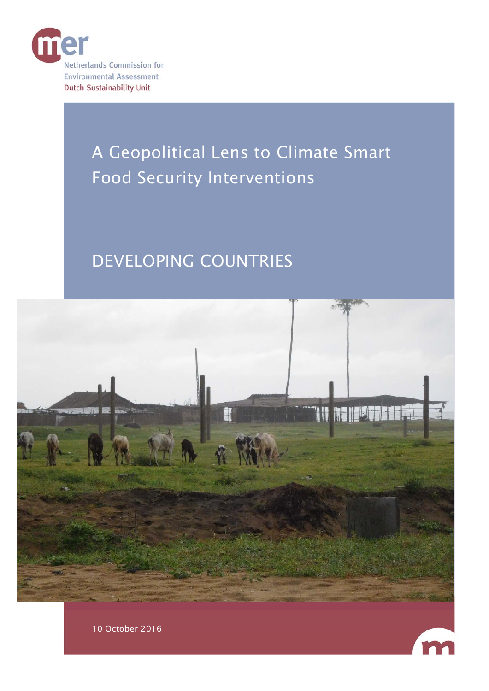

# A Geopolitical Lens to Climate Smart Food Security Interventions

# DEVELOPING COUNTRIES





10 October 2016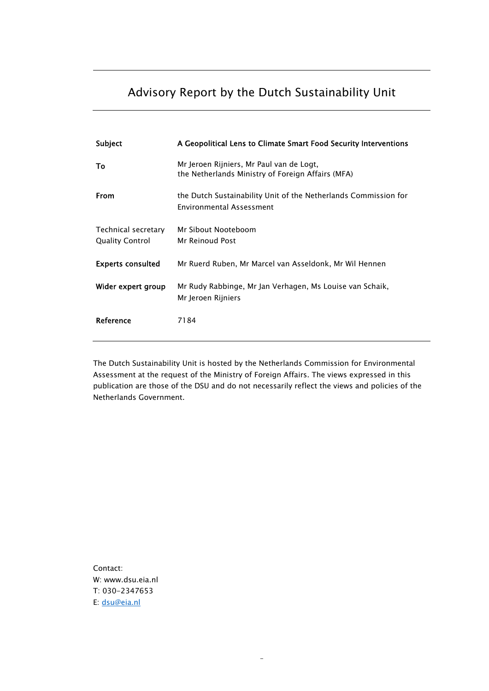## <span id="page-1-0"></span>Advisory Report by the Dutch Sustainability Unit

| Subject                                       | A Geopolitical Lens to Climate Smart Food Security Interventions                                   |
|-----------------------------------------------|----------------------------------------------------------------------------------------------------|
| To                                            | Mr Jeroen Rijniers, Mr Paul van de Logt,<br>the Netherlands Ministry of Foreign Affairs (MFA)      |
| <b>From</b>                                   | the Dutch Sustainability Unit of the Netherlands Commission for<br><b>Environmental Assessment</b> |
| Technical secretary<br><b>Quality Control</b> | Mr Sibout Nooteboom<br>Mr Reinoud Post                                                             |
| <b>Experts consulted</b>                      | Mr Ruerd Ruben, Mr Marcel van Asseldonk, Mr Wil Hennen                                             |
| Wider expert group                            | Mr Rudy Rabbinge, Mr Jan Verhagen, Ms Louise van Schaik,<br>Mr Jeroen Rijniers                     |
| Reference                                     | 7184                                                                                               |

The Dutch Sustainability Unit is hosted by the Netherlands Commission for Environmental Assessment at the request of the Ministry of Foreign Affairs. The views expressed in this publication are those of the DSU and do not necessarily reflect the views and policies of the Netherlands Government.

-

Contact: W: www.dsu.eia.nl T: 030-2347653 E: dsu@eia.nl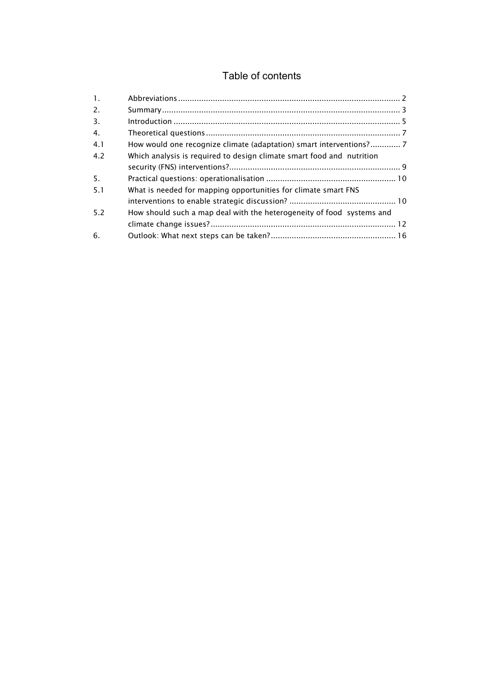### Table of contents

| $\overline{1}$ . |                                                                       |
|------------------|-----------------------------------------------------------------------|
| 2.               |                                                                       |
| 3.               |                                                                       |
| 4.               |                                                                       |
| 4.1              |                                                                       |
| 4.2              | Which analysis is required to design climate smart food and nutrition |
|                  |                                                                       |
| -5.              |                                                                       |
| 5.1              | What is needed for mapping opportunities for climate smart FNS        |
|                  |                                                                       |
| 5.2              | How should such a map deal with the heterogeneity of food systems and |
|                  |                                                                       |
| 6.               |                                                                       |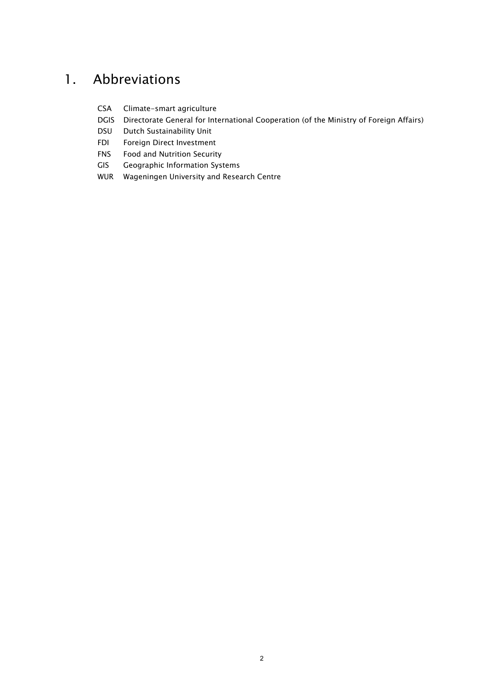# 1. Abbreviations

- CSA Climate-smart agriculture
- DGIS Directorate General for International Cooperation (of the Ministry of Foreign Affairs)
- DSU Dutch Sustainability Unit
- FDI Foreign Direct Investment
- FNS Food and Nutrition Security
- GIS Geographic Information Systems
- WUR Wageningen University and Research Centre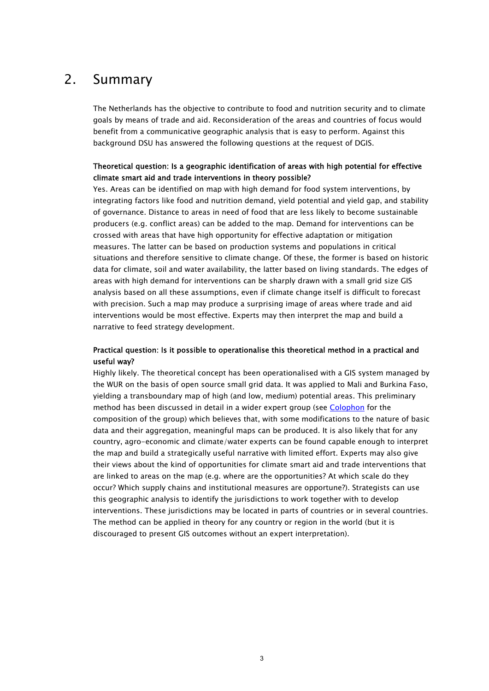## 2. Summary

The Netherlands has the objective to contribute to food and nutrition security and to climate goals by means of trade and aid. Reconsideration of the areas and countries of focus would benefit from a communicative geographic analysis that is easy to perform. Against this background DSU has answered the following questions at the request of DGIS.

#### Theoretical question: Is a geographic identification of areas with high potential for effective climate smart aid and trade interventions in theory possible?

Yes. Areas can be identified on map with high demand for food system interventions, by integrating factors like food and nutrition demand, yield potential and yield gap, and stability of governance. Distance to areas in need of food that are less likely to become sustainable producers (e.g. conflict areas) can be added to the map. Demand for interventions can be crossed with areas that have high opportunity for effective adaptation or mitigation measures. The latter can be based on production systems and populations in critical situations and therefore sensitive to climate change. Of these, the former is based on historic data for climate, soil and water availability, the latter based on living standards. The edges of areas with high demand for interventions can be sharply drawn with a small grid size GIS analysis based on all these assumptions, even if climate change itself is difficult to forecast with precision. Such a map may produce a surprising image of areas where trade and aid interventions would be most effective. Experts may then interpret the map and build a narrative to feed strategy development.

#### Practical question: Is it possible to operationalise this theoretical method in a practical and useful way?

Highly likely. The theoretical concept has been operationalised with a GIS system managed by the WUR on the basis of open source small grid data. It was applied to Mali and Burkina Faso, yielding a transboundary map of high (and low, medium) potential areas. This preliminary method has been discussed in detail in a wider expert group (see [Colophon](#page-1-0) for the composition of the group) which believes that, with some modifications to the nature of basic data and their aggregation, meaningful maps can be produced. It is also likely that for any country, agro-economic and climate/water experts can be found capable enough to interpret the map and build a strategically useful narrative with limited effort. Experts may also give their views about the kind of opportunities for climate smart aid and trade interventions that are linked to areas on the map (e.g. where are the opportunities? At which scale do they occur? Which supply chains and institutional measures are opportune?). Strategists can use this geographic analysis to identify the jurisdictions to work together with to develop interventions. These jurisdictions may be located in parts of countries or in several countries. The method can be applied in theory for any country or region in the world (but it is discouraged to present GIS outcomes without an expert interpretation).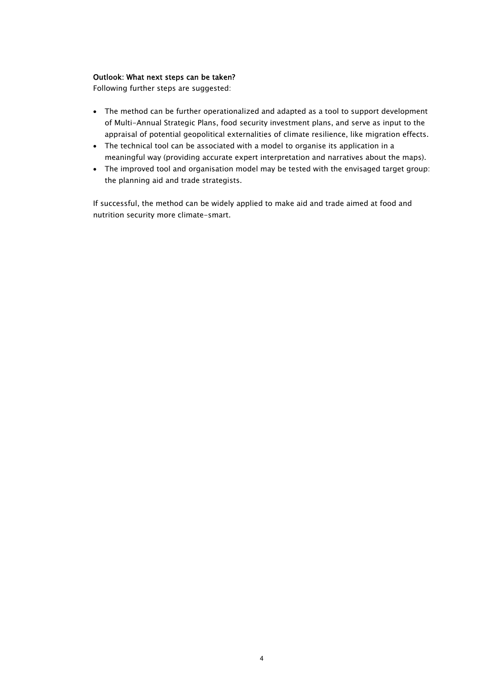#### Outlook: What next steps can be taken?

Following further steps are suggested:

- The method can be further operationalized and adapted as a tool to support development of Multi-Annual Strategic Plans, food security investment plans, and serve as input to the appraisal of potential geopolitical externalities of climate resilience, like migration effects.
- The technical tool can be associated with a model to organise its application in a meaningful way (providing accurate expert interpretation and narratives about the maps).
- The improved tool and organisation model may be tested with the envisaged target group: the planning aid and trade strategists.

If successful, the method can be widely applied to make aid and trade aimed at food and nutrition security more climate-smart.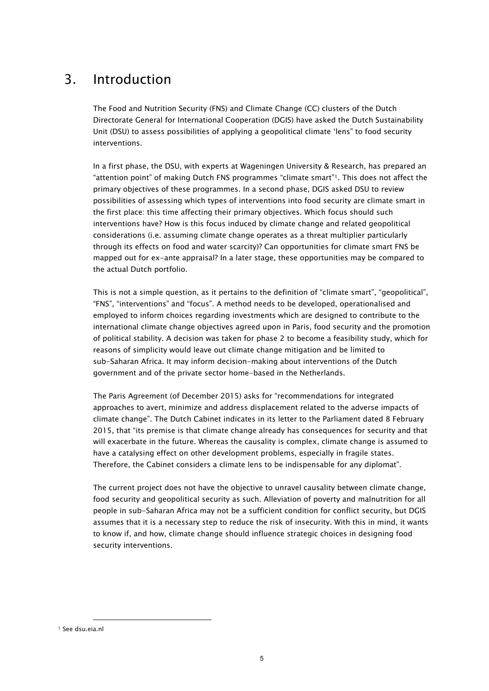# 3. Introduction

The Food and Nutrition Security (FNS) and Climate Change (CC) clusters of the Dutch Directorate General for International Cooperation (DGIS) have asked the Dutch Sustainability Unit (DSU) to assess possibilities of applying a geopolitical climate 'lens" to food security interventions.

In a first phase, the DSU, with experts at Wageningen University & Research, has prepared an "attention point" of making Dutch FNS programmes "climate smart"1. This does not affect the primary objectives of these programmes. In a second phase, DGIS asked DSU to review possibilities of assessing which types of interventions into food security are climate smart in the first place: this time affecting their primary objectives. Which focus should such interventions have? How is this focus induced by climate change and related geopolitical considerations (i.e. assuming climate change operates as a threat multiplier particularly through its effects on food and water scarcity)? Can opportunities for climate smart FNS be mapped out for ex-ante appraisal? In a later stage, these opportunities may be compared to the actual Dutch portfolio.

This is not a simple question, as it pertains to the definition of "climate smart", "geopolitical", "FNS", "interventions" and "focus". A method needs to be developed, operationalised and employed to inform choices regarding investments which are designed to contribute to the international climate change objectives agreed upon in Paris, food security and the promotion of political stability. A decision was taken for phase 2 to become a feasibility study, which for reasons of simplicity would leave out climate change mitigation and be limited to sub-Saharan Africa. It may inform decision-making about interventions of the Dutch government and of the private sector home-based in the Netherlands.

The Paris Agreement (of December 2015) asks for "recommendations for integrated approaches to avert, minimize and address displacement related to the adverse impacts of climate change". The Dutch Cabinet indicates in its letter to the Parliament dated 8 February 2015, that "its premise is that climate change already has consequences for security and that will exacerbate in the future. Whereas the causality is complex, climate change is assumed to have a catalysing effect on other development problems, especially in fragile states. Therefore, the Cabinet considers a climate lens to be indispensable for any diplomat".

The current project does not have the objective to unravel causality between climate change, food security and geopolitical security as such. Alleviation of poverty and malnutrition for all people in sub-Saharan Africa may not be a sufficient condition for conflict security, but DGIS assumes that it is a necessary step to reduce the risk of insecurity. With this in mind, it wants to know if, and how, climate change should influence strategic choices in designing food security interventions.

 $\overline{a}$ 

<sup>1</sup> See dsu.eia.nl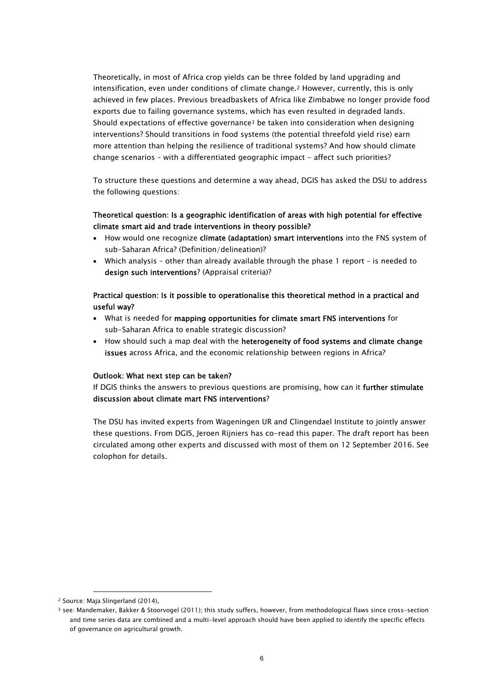Theoretically, in most of Africa crop yields can be three folded by land upgrading and intensification, even under conditions of climate change.2 However, currently, this is only achieved in few places. Previous breadbaskets of Africa like Zimbabwe no longer provide food exports due to failing governance systems, which has even resulted in degraded lands. Should expectations of effective governance3 be taken into consideration when designing interventions? Should transitions in food systems (the potential threefold yield rise) earn more attention than helping the resilience of traditional systems? And how should climate change scenarios – with a differentiated geographic impact - affect such priorities?

To structure these questions and determine a way ahead, DGIS has asked the DSU to address the following questions:

#### Theoretical question: Is a geographic identification of areas with high potential for effective climate smart aid and trade interventions in theory possible?

- How would one recognize climate (adaptation) smart interventions into the FNS system of sub-Saharan Africa? (Definition/delineation)?
- Which analysis other than already available through the phase 1 report is needed to design such interventions? (Appraisal criteria)?

#### Practical question: Is it possible to operationalise this theoretical method in a practical and useful way?

- What is needed for mapping opportunities for climate smart FNS interventions for sub-Saharan Africa to enable strategic discussion?
- How should such a map deal with the heterogeneity of food systems and climate change issues across Africa, and the economic relationship between regions in Africa?

#### Outlook: What next step can be taken?

If DGIS thinks the answers to previous questions are promising, how can it further stimulate discussion about climate mart FNS interventions?

The DSU has invited experts from Wageningen UR and Clingendael Institute to jointly answer these questions. From DGIS, Jeroen Rijniers has co-read this paper. The draft report has been circulated among other experts and discussed with most of them on 12 September 2016. See colophon for details.

l

<sup>2</sup> Source: Maja Slingerland (2014),

<sup>3</sup> see: Mandemaker, Bakker & Stoorvogel (2011); this study suffers, however, from methodological flaws since cross-section and time series data are combined and a multi-level approach should have been applied to identify the specific effects of governance on agricultural growth.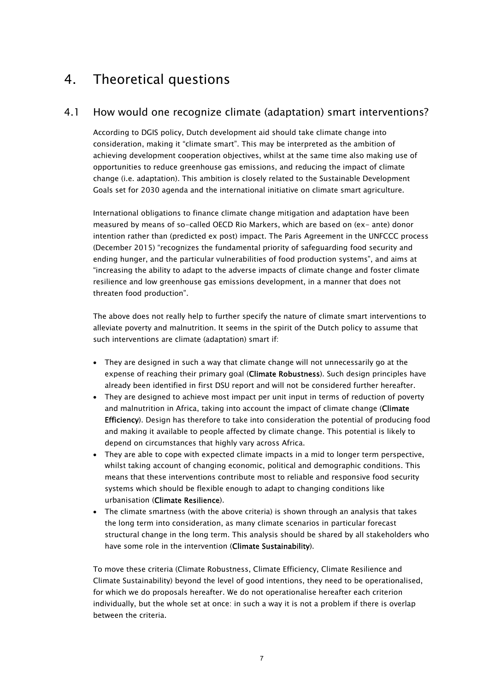# 4. Theoretical questions

### 4.1 How would one recognize climate (adaptation) smart interventions?

According to DGIS policy, Dutch development aid should take climate change into consideration, making it "climate smart". This may be interpreted as the ambition of achieving development cooperation objectives, whilst at the same time also making use of opportunities to reduce greenhouse gas emissions, and reducing the impact of climate change (i.e. adaptation). This ambition is closely related to the Sustainable Development Goals set for 2030 agenda and the international initiative on climate smart agriculture.

International obligations to finance climate change mitigation and adaptation have been measured by means of so-called OECD Rio Markers, which are based on (ex- ante) donor intention rather than (predicted ex post) impact. The Paris Agreement in the UNFCCC process (December 2015) "recognizes the fundamental priority of safeguarding food security and ending hunger, and the particular vulnerabilities of food production systems", and aims at "increasing the ability to adapt to the adverse impacts of climate change and foster climate resilience and low greenhouse gas emissions development, in a manner that does not threaten food production".

The above does not really help to further specify the nature of climate smart interventions to alleviate poverty and malnutrition. It seems in the spirit of the Dutch policy to assume that such interventions are climate (adaptation) smart if:

- They are designed in such a way that climate change will not unnecessarily go at the expense of reaching their primary goal (Climate Robustness). Such design principles have already been identified in first DSU report and will not be considered further hereafter.
- They are designed to achieve most impact per unit input in terms of reduction of poverty and malnutrition in Africa, taking into account the impact of climate change (Climate Efficiency). Design has therefore to take into consideration the potential of producing food and making it available to people affected by climate change. This potential is likely to depend on circumstances that highly vary across Africa.
- They are able to cope with expected climate impacts in a mid to longer term perspective, whilst taking account of changing economic, political and demographic conditions. This means that these interventions contribute most to reliable and responsive food security systems which should be flexible enough to adapt to changing conditions like urbanisation (Climate Resilience).
- The climate smartness (with the above criteria) is shown through an analysis that takes the long term into consideration, as many climate scenarios in particular forecast structural change in the long term. This analysis should be shared by all stakeholders who have some role in the intervention (Climate Sustainability).

To move these criteria (Climate Robustness, Climate Efficiency, Climate Resilience and Climate Sustainability) beyond the level of good intentions, they need to be operationalised, for which we do proposals hereafter. We do not operationalise hereafter each criterion individually, but the whole set at once: in such a way it is not a problem if there is overlap between the criteria.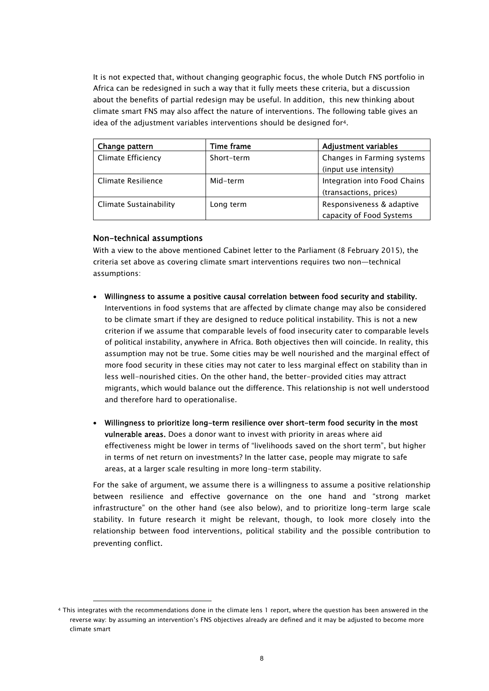It is not expected that, without changing geographic focus, the whole Dutch FNS portfolio in Africa can be redesigned in such a way that it fully meets these criteria, but a discussion about the benefits of partial redesign may be useful. In addition, this new thinking about climate smart FNS may also affect the nature of interventions. The following table gives an idea of the adjustment variables interventions should be designed for4.

| Change pattern            | Time frame | <b>Adjustment variables</b>  |
|---------------------------|------------|------------------------------|
| <b>Climate Efficiency</b> | Short-term | Changes in Farming systems   |
|                           |            | (input use intensity)        |
| Climate Resilience        | Mid-term   | Integration into Food Chains |
|                           |            | (transactions, prices)       |
| Climate Sustainability    | Long term  | Responsiveness & adaptive    |
|                           |            | capacity of Food Systems     |

#### Non-technical assumptions

 $\overline{a}$ 

With a view to the above mentioned Cabinet letter to the Parliament (8 February 2015), the criteria set above as covering climate smart interventions requires two non—technical assumptions:

- Willingness to assume a positive causal correlation between food security and stability. Interventions in food systems that are affected by climate change may also be considered to be climate smart if they are designed to reduce political instability. This is not a new criterion if we assume that comparable levels of food insecurity cater to comparable levels of political instability, anywhere in Africa. Both objectives then will coincide. In reality, this assumption may not be true. Some cities may be well nourished and the marginal effect of more food security in these cities may not cater to less marginal effect on stability than in less well-nourished cities. On the other hand, the better-provided cities may attract migrants, which would balance out the difference. This relationship is not well understood and therefore hard to operationalise.
- Willingness to prioritize long-term resilience over short-term food security in the most vulnerable areas. Does a donor want to invest with priority in areas where aid effectiveness might be lower in terms of "livelihoods saved on the short term", but higher in terms of net return on investments? In the latter case, people may migrate to safe areas, at a larger scale resulting in more long-term stability.

For the sake of argument, we assume there is a willingness to assume a positive relationship between resilience and effective governance on the one hand and "strong market infrastructure" on the other hand (see also below), and to prioritize long-term large scale stability. In future research it might be relevant, though, to look more closely into the relationship between food interventions, political stability and the possible contribution to preventing conflict.

<sup>4</sup> This integrates with the recommendations done in the climate lens 1 report, where the question has been answered in the reverse way: by assuming an intervention's FNS objectives already are defined and it may be adjusted to become more climate smart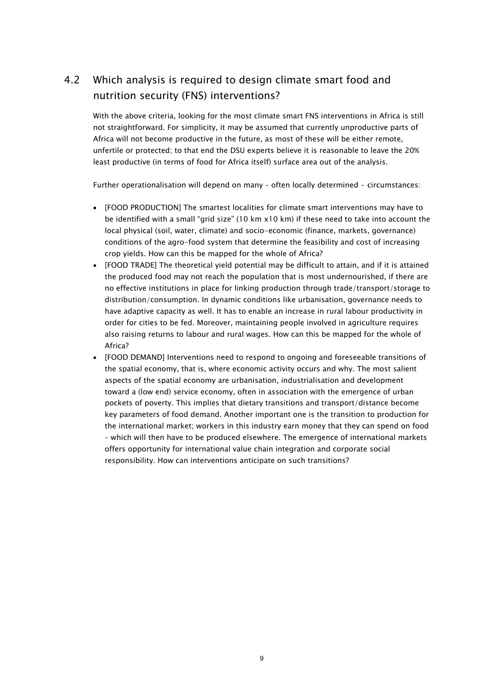### 4.2 Which analysis is required to design climate smart food and nutrition security (FNS) interventions?

With the above criteria, looking for the most climate smart FNS interventions in Africa is still not straightforward. For simplicity, it may be assumed that currently unproductive parts of Africa will not become productive in the future, as most of these will be either remote, unfertile or protected; to that end the DSU experts believe it is reasonable to leave the 20% least productive (in terms of food for Africa itself) surface area out of the analysis.

Further operationalisation will depend on many - often locally determined - circumstances:

- [FOOD PRODUCTION] The smartest localities for climate smart interventions may have to be identified with a small "grid size" (10 km x10 km) if these need to take into account the local physical (soil, water, climate) and socio-economic (finance, markets, governance) conditions of the agro-food system that determine the feasibility and cost of increasing crop yields. How can this be mapped for the whole of Africa?
- [FOOD TRADE] The theoretical yield potential may be difficult to attain, and if it is attained the produced food may not reach the population that is most undernourished, if there are no effective institutions in place for linking production through trade/transport/storage to distribution/consumption. In dynamic conditions like urbanisation, governance needs to have adaptive capacity as well. It has to enable an increase in rural labour productivity in order for cities to be fed. Moreover, maintaining people involved in agriculture requires also raising returns to labour and rural wages. How can this be mapped for the whole of Africa?
- [FOOD DEMAND] Interventions need to respond to ongoing and foreseeable transitions of the spatial economy, that is, where economic activity occurs and why. The most salient aspects of the spatial economy are urbanisation, industrialisation and development toward a (low end) service economy, often in association with the emergence of urban pockets of poverty. This implies that dietary transitions and transport/distance become key parameters of food demand. Another important one is the transition to production for the international market; workers in this industry earn money that they can spend on food – which will then have to be produced elsewhere. The emergence of international markets offers opportunity for international value chain integration and corporate social responsibility. How can interventions anticipate on such transitions?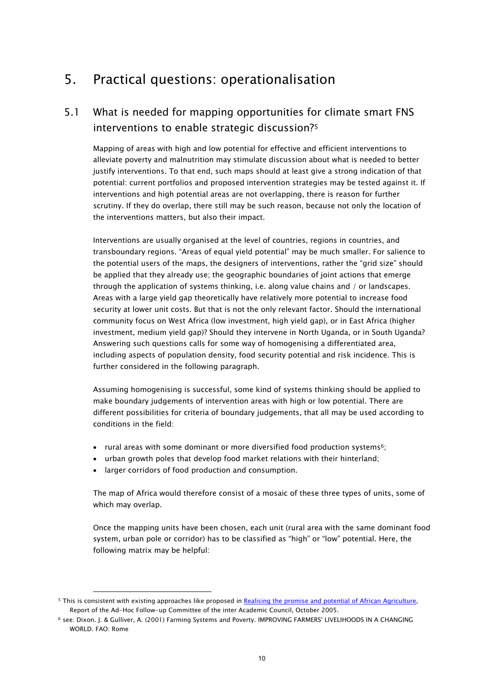# 5. Practical questions: operationalisation

### 5.1 What is needed for mapping opportunities for climate smart FNS interventions to enable strategic discussion?5

Mapping of areas with high and low potential for effective and efficient interventions to alleviate poverty and malnutrition may stimulate discussion about what is needed to better justify interventions. To that end, such maps should at least give a strong indication of that potential: current portfolios and proposed intervention strategies may be tested against it. If interventions and high potential areas are not overlapping, there is reason for further scrutiny. If they do overlap, there still may be such reason, because not only the location of the interventions matters, but also their impact.

Interventions are usually organised at the level of countries, regions in countries, and transboundary regions. "Areas of equal yield potential" may be much smaller. For salience to the potential users of the maps, the designers of interventions, rather the "grid size" should be applied that they already use; the geographic boundaries of joint actions that emerge through the application of systems thinking, i.e. along value chains and / or landscapes. Areas with a large yield gap theoretically have relatively more potential to increase food security at lower unit costs. But that is not the only relevant factor. Should the international community focus on West Africa (low investment, high yield gap), or in East Africa (higher investment, medium yield gap)? Should they intervene in North Uganda, or in South Uganda? Answering such questions calls for some way of homogenising a differentiated area, including aspects of population density, food security potential and risk incidence. This is further considered in the following paragraph.

Assuming homogenising is successful, some kind of systems thinking should be applied to make boundary judgements of intervention areas with high or low potential. There are different possibilities for criteria of boundary judgements, that all may be used according to conditions in the field:

- rural areas with some dominant or more diversified food production systems<sup>6</sup>;
- urban growth poles that develop food market relations with their hinterland;
- larger corridors of food production and consumption.

l

The map of Africa would therefore consist of a mosaic of these three types of units, some of which may overlap.

Once the mapping units have been chosen, each unit (rural area with the same dominant food system, urban pole or corridor) has to be classified as "high" or "low" potential. Here, the following matrix may be helpful:

<sup>5</sup> This is consistent with existing approaches like proposed in Realising the promise and potential of African Agriculture, Report of the Ad-Hoc Follow-up Committee of the inter Academic Council, October 2005.

<sup>6</sup> see: Dixon. J. & Gulliver, A. (2001) Farming Systems and Poverty. IMPROVING FARMERS' LIVELIHOODS IN A CHANGING WORLD. FAO: Rome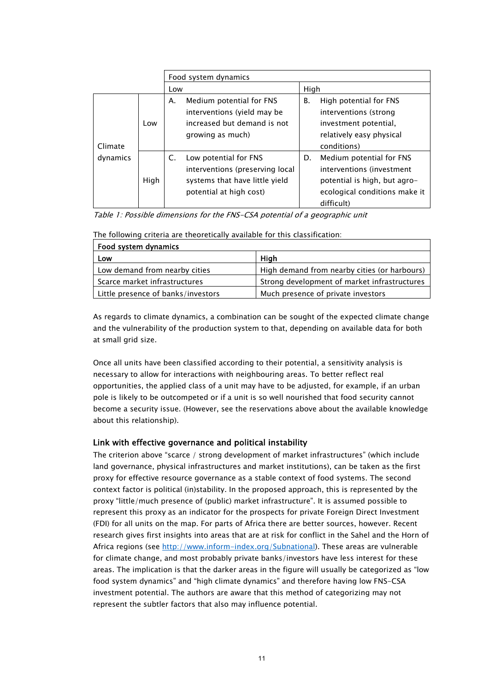|                     | Food system dynamics |                                                                                                                             |                                                                                                                                            |
|---------------------|----------------------|-----------------------------------------------------------------------------------------------------------------------------|--------------------------------------------------------------------------------------------------------------------------------------------|
|                     |                      | Low                                                                                                                         | High                                                                                                                                       |
| Climate<br>dynamics | Low                  | Medium potential for FNS<br>А.<br>interventions (yield may be<br>increased but demand is not<br>growing as much)            | High potential for FNS<br>В.<br>interventions (strong<br>investment potential,<br>relatively easy physical<br>conditions)                  |
|                     | High                 | Low potential for FNS<br>C.<br>interventions (preserving local<br>systems that have little yield<br>potential at high cost) | Medium potential for FNS<br>D.<br>interventions (investment<br>potential is high, but agro-<br>ecological conditions make it<br>difficult) |

Table 1: Possible dimensions for the FNS-CSA potential of a geographic unit

| Food system dynamics               |                                              |  |  |  |
|------------------------------------|----------------------------------------------|--|--|--|
| Low                                | Hiah                                         |  |  |  |
| Low demand from nearby cities      | High demand from nearby cities (or harbours) |  |  |  |
| Scarce market infrastructures      | Strong development of market infrastructures |  |  |  |
| Little presence of banks/investors | Much presence of private investors           |  |  |  |

The following criteria are theoretically available for this classification:

As regards to climate dynamics, a combination can be sought of the expected climate change and the vulnerability of the production system to that, depending on available data for both at small grid size.

Once all units have been classified according to their potential, a sensitivity analysis is necessary to allow for interactions with neighbouring areas. To better reflect real opportunities, the applied class of a unit may have to be adjusted, for example, if an urban pole is likely to be outcompeted or if a unit is so well nourished that food security cannot become a security issue. (However, see the reservations above about the available knowledge about this relationship).

#### Link with effective governance and political instability

The criterion above "scarce / strong development of market infrastructures" (which include land governance, physical infrastructures and market institutions), can be taken as the first proxy for effective resource governance as a stable context of food systems. The second context factor is political (in)stability. In the proposed approach, this is represented by the proxy "little/much presence of (public) market infrastructure". It is assumed possible to represent this proxy as an indicator for the prospects for private Foreign Direct Investment (FDI) for all units on the map. For parts of Africa there are better sources, however. Recent research gives first insights into areas that are at risk for conflict in the Sahel and the Horn of Africa regions (see http://www.inform-index.org/Subnational). These areas are vulnerable for climate change, and most probably private banks/investors have less interest for these areas. The implication is that the darker areas in the figure will usually be categorized as "low food system dynamics" and "high climate dynamics" and therefore having low FNS-CSA investment potential. The authors are aware that this method of categorizing may not represent the subtler factors that also may influence potential.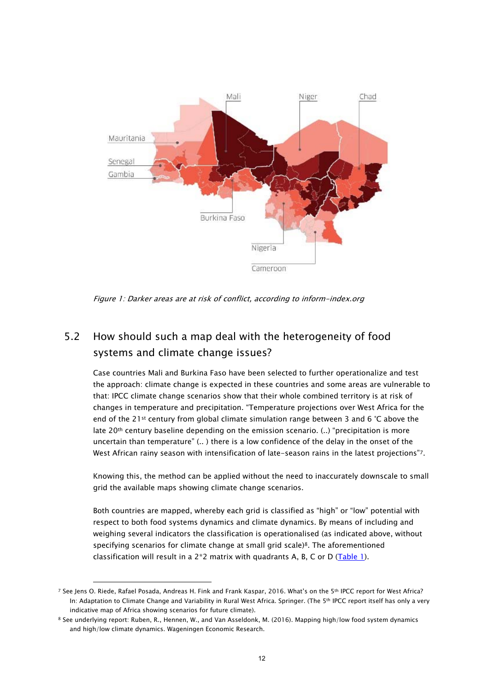

Figure 1: Darker areas are at risk of conflict, according to inform-index.org

### 5.2 How should such a map deal with the heterogeneity of food systems and climate change issues?

Case countries Mali and Burkina Faso have been selected to further operationalize and test the approach: climate change is expected in these countries and some areas are vulnerable to that: IPCC climate change scenarios show that their whole combined territory is at risk of changes in temperature and precipitation. "Temperature projections over West Africa for the end of the 21st century from global climate simulation range between 3 and 6 °C above the late 20<sup>th</sup> century baseline depending on the emission scenario. (..) "precipitation is more uncertain than temperature" (.. ) there is a low confidence of the delay in the onset of the West African rainy season with intensification of late-season rains in the latest projections"7.

Knowing this, the method can be applied without the need to inaccurately downscale to small grid the available maps showing climate change scenarios.

Both countries are mapped, whereby each grid is classified as "high" or "low" potential with respect to both food systems dynamics and climate dynamics. By means of including and weighing several indicators the classification is operationalised (as indicated above, without specifying scenarios for climate change at small grid scale)8. The aforementioned classification will result in a  $2*2$  matrix with quadrants A, B, C or D (Table 1).

 $\overline{a}$ 

<sup>&</sup>lt;sup>7</sup> See Jens O. Riede, Rafael Posada, Andreas H. Fink and Frank Kaspar, 2016. What's on the 5<sup>th</sup> IPCC report for West Africa? In: Adaptation to Climate Change and Variability in Rural West Africa. Springer. (The 5<sup>th</sup> IPCC report itself has only a very indicative map of Africa showing scenarios for future climate).

<sup>8</sup> See underlying report: Ruben, R., Hennen, W., and Van Asseldonk, M. (2016). Mapping high/low food system dynamics and high/low climate dynamics. Wageningen Economic Research.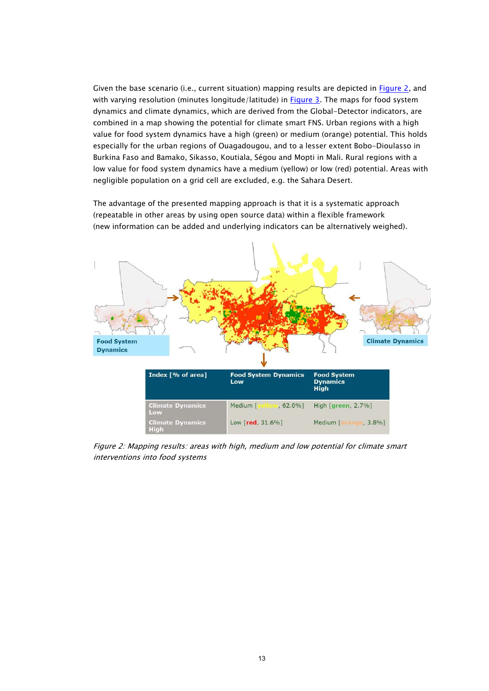Given the base scenario (i.e., current situation) mapping results are depicted in Figure 2, and with varying resolution (minutes longitude/latitude) in  $Figure 3$ . The maps for food system dynamics and climate dynamics, which are derived from the Global-Detector indicators, are combined in a map showing the potential for climate smart FNS. Urban regions with a high value for food system dynamics have a high (green) or medium (orange) potential. This holds especially for the urban regions of Ouagadougou, and to a lesser extent Bobo-Dioulasso in Burkina Faso and Bamako, Sikasso, Koutiala, Ségou and Mopti in Mali. Rural regions with a low value for food system dynamics have a medium (yellow) or low (red) potential. Areas with negligible population on a grid cell are excluded, e.g. the Sahara Desert.

The advantage of the presented mapping approach is that it is a systematic approach (repeatable in other areas by using open source data) within a flexible framework (new information can be added and underlying indicators can be alternatively weighed).



Figure 2: Mapping results: areas with high, medium and low potential for climate smart interventions into food systems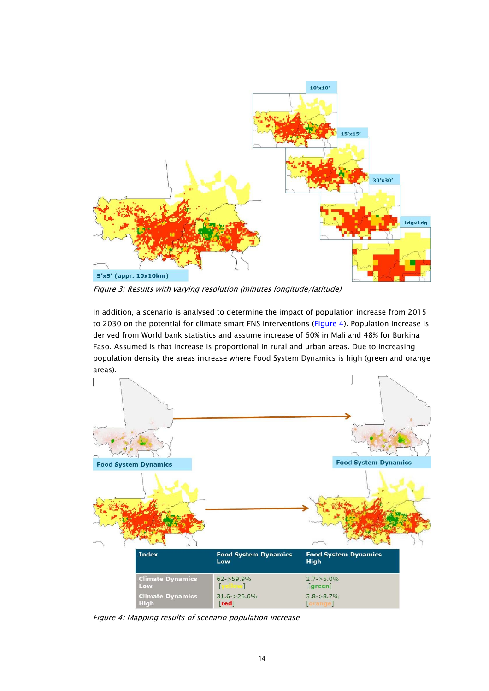

Figure 3: Results with varying resolution (minutes longitude/latitude)

In addition, a scenario is analysed to determine the impact of population increase from 2015 to 2030 on the potential for climate smart FNS interventions (Figure 4). Population increase is derived from World bank statistics and assume increase of 60% in Mali and 48% for Burkina Faso. Assumed is that increase is proportional in rural and urban areas. Due to increasing population density the areas increase where Food System Dynamics is high (green and orange areas).



Figure 4: Mapping results of scenario population increase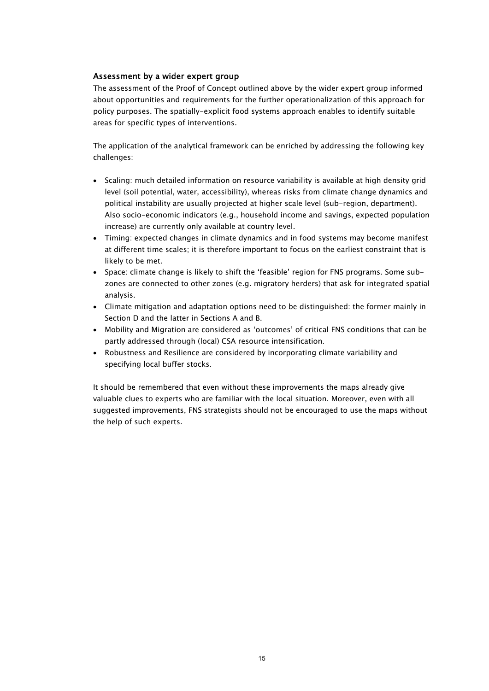#### Assessment by a wider expert group

The assessment of the Proof of Concept outlined above by the wider expert group informed about opportunities and requirements for the further operationalization of this approach for policy purposes. The spatially-explicit food systems approach enables to identify suitable areas for specific types of interventions.

The application of the analytical framework can be enriched by addressing the following key challenges:

- Scaling: much detailed information on resource variability is available at high density grid level (soil potential, water, accessibility), whereas risks from climate change dynamics and political instability are usually projected at higher scale level (sub-region, department). Also socio-economic indicators (e.g., household income and savings, expected population increase) are currently only available at country level.
- Timing: expected changes in climate dynamics and in food systems may become manifest at different time scales; it is therefore important to focus on the earliest constraint that is likely to be met.
- Space: climate change is likely to shift the 'feasible' region for FNS programs. Some subzones are connected to other zones (e.g. migratory herders) that ask for integrated spatial analysis.
- Climate mitigation and adaptation options need to be distinguished: the former mainly in Section D and the latter in Sections A and B.
- Mobility and Migration are considered as 'outcomes' of critical FNS conditions that can be partly addressed through (local) CSA resource intensification.
- Robustness and Resilience are considered by incorporating climate variability and specifying local buffer stocks.

It should be remembered that even without these improvements the maps already give valuable clues to experts who are familiar with the local situation. Moreover, even with all suggested improvements, FNS strategists should not be encouraged to use the maps without the help of such experts.